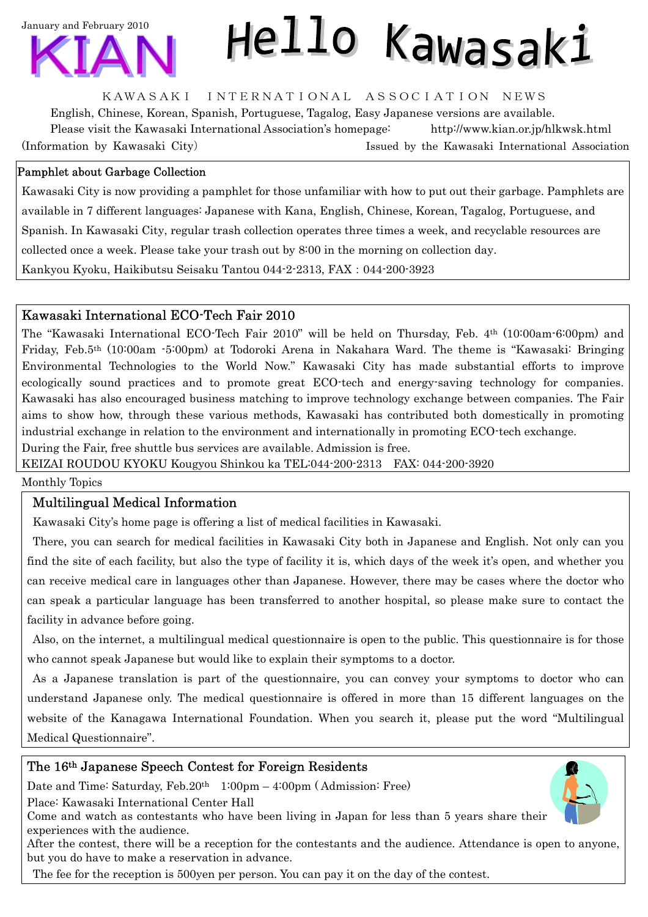

# Hello Kawasaki

KAWASAKI INTERNATIONAL ASSOCIATION NEWS

English, Chinese, Korean, Spanish, Portuguese, Tagalog, Easy Japanese versions are available. Please visit the Kawasaki International Association's homepage: <http://www.kian.or.jp/hlkwsk.html> (Information by Kawasaki City) Issued by the Kawasaki International Association

## Pamphlet about Garbage Collection

Kawasaki City is now providing a pamphlet for those unfamiliar with how to put out their garbage. Pamphlets are available in 7 different languages: Japanese with Kana, English, Chinese, Korean, Tagalog, Portuguese, and Spanish. In Kawasaki City, regular trash collection operates three times a week, and recyclable resources are collected once a week. Please take your trash out by 8:00 in the morning on collection day. Kankyou Kyoku, Haikibutsu Seisaku Tantou 044-2-2313, FAX:044-200-3923

## Kawasaki International ECO-Tech Fair 2010

The "Kawasaki International ECO-Tech Fair 2010" will be held on Thursday, Feb. 4th (10:00am-6:00pm) and Friday, Feb.5th (10:00am -5:00pm) at Todoroki Arena in Nakahara Ward. The theme is "Kawasaki: Bringing Environmental Technologies to the World Now." Kawasaki City has made substantial efforts to improve ecologically sound practices and to promote great ECO-tech and energy-saving technology for companies. Kawasaki has also encouraged business matching to improve technology exchange between companies. The Fair aims to show how, through these various methods, Kawasaki has contributed both domestically in promoting industrial exchange in relation to the environment and internationally in promoting ECO-tech exchange.

During the Fair, free shuttle bus services are available. Admission is free.

KEIZAI ROUDOU KYOKU Kougyou Shinkou ka TEL:044-200-2313 FAX: 044-200-3920

Monthly Topics

# Multilingual Medical Information

Kawasaki City's home page is offering a list of medical facilities in Kawasaki.

There, you can search for medical facilities in Kawasaki City both in Japanese and English. Not only can you find the site of each facility, but also the type of facility it is, which days of the week it's open, and whether you can receive medical care in languages other than Japanese. However, there may be cases where the doctor who can speak a particular language has been transferred to another hospital, so please make sure to contact the facility in advance before going.

Also, on the internet, a multilingual medical questionnaire is open to the public. This questionnaire is for those who cannot speak Japanese but would like to explain their symptoms to a doctor.

As a Japanese translation is part of the questionnaire, you can convey your symptoms to doctor who can understand Japanese only. The medical questionnaire is offered in more than 15 different languages on the website of the Kanagawa International Foundation. When you search it, please put the word "Multilingual Medical Questionnaire".

## The 16th Japanese Speech Contest for Foreign Residents

Date and Time: Saturday, Feb. 20<sup>th</sup> 1:00pm – 4:00pm (Admission: Free)

Place: Kawasaki International Center Hall

Come and watch as contestants who have been living in Japan for less than 5 years share their experiences with the audience.

After the contest, there will be a reception for the contestants and the audience. Attendance is open to anyone, but you do have to make a reservation in advance.

The fee for the reception is 500yen per person. You can pay it on the day of the contest.